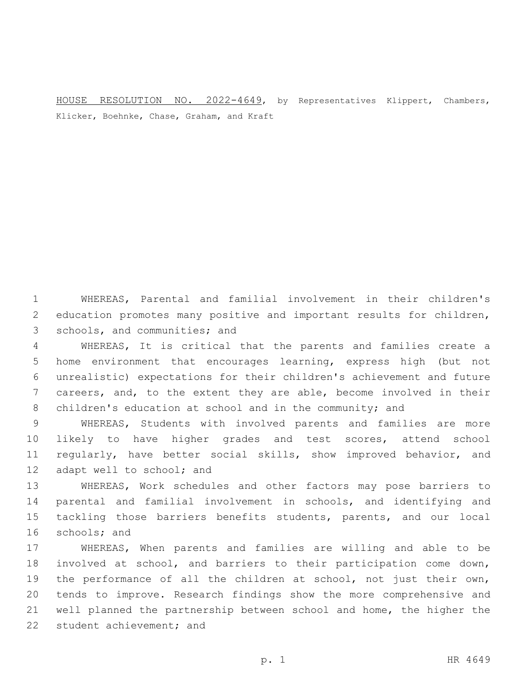HOUSE RESOLUTION NO. 2022-4649, by Representatives Klippert, Chambers, Klicker, Boehnke, Chase, Graham, and Kraft

 WHEREAS, Parental and familial involvement in their children's education promotes many positive and important results for children, 3 schools, and communities; and

 WHEREAS, It is critical that the parents and families create a home environment that encourages learning, express high (but not unrealistic) expectations for their children's achievement and future careers, and, to the extent they are able, become involved in their 8 children's education at school and in the community; and

 WHEREAS, Students with involved parents and families are more likely to have higher grades and test scores, attend school regularly, have better social skills, show improved behavior, and 12 adapt well to school; and

 WHEREAS, Work schedules and other factors may pose barriers to parental and familial involvement in schools, and identifying and tackling those barriers benefits students, parents, and our local 16 schools; and

 WHEREAS, When parents and families are willing and able to be involved at school, and barriers to their participation come down, 19 the performance of all the children at school, not just their own, tends to improve. Research findings show the more comprehensive and well planned the partnership between school and home, the higher the 22 student achievement; and